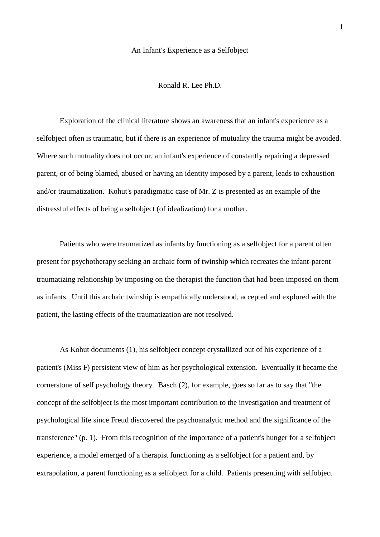#### An Infant's Experience as a Selfobject

Ronald R. Lee Ph.D.

Exploration of the clinical literature shows an awareness that an infant's experience as a selfobject often is traumatic, but if there is an experience of mutuality the trauma might be avoided. Where such mutuality does not occur, an infant's experience of constantly repairing a depressed parent, or of being blamed, abused or having an identity imposed by a parent, leads to exhaustion and/or traumatization. Kohut's paradigmatic case of Mr. Z is presented as an example of the distressful effects of being a selfobject (of idealization) for a mother.

Patients who were traumatized as infants by functioning as a selfobject for a parent often present for psychotherapy seeking an archaic form of twinship which recreates the infant-parent traumatizing relationship by imposing on the therapist the function that had been imposed on them as infants. Until this archaic twinship is empathically understood, accepted and explored with the patient, the lasting effects of the traumatization are not resolved.

As Kohut documents (1), his selfobject concept crystallized out of his experience of a patient's (Miss F) persistent view of him as her psychological extension. Eventually it became the cornerstone of self psychology theory. Basch (2), for example, goes so far as to say that "the concept of the selfobject is the most important contribution to the investigation and treatment of psychological life since Freud discovered the psychoanalytic method and the significance of the transference" (p. 1). From this recognition of the importance of a patient's hunger for a selfobject experience, a model emerged of a therapist functioning as a selfobject for a patient and, by extrapolation, a parent functioning as a selfobject for a child. Patients presenting with selfobject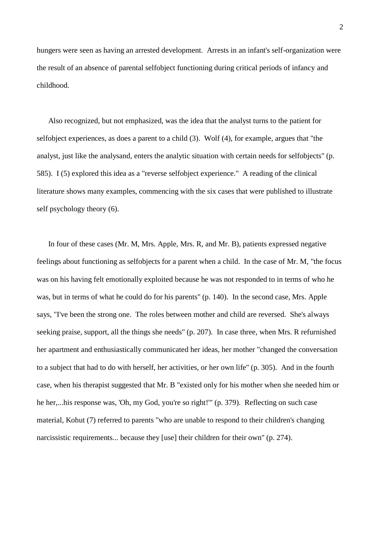hungers were seen as having an arrested development. Arrests in an infant's self-organization were the result of an absence of parental selfobject functioning during critical periods of infancy and childhood.

 Also recognized, but not emphasized, was the idea that the analyst turns to the patient for selfobject experiences, as does a parent to a child (3). Wolf (4), for example, argues that "the analyst, just like the analysand, enters the analytic situation with certain needs for selfobjects" (p. 585). I (5) explored this idea as a "reverse selfobject experience." A reading of the clinical literature shows many examples, commencing with the six cases that were published to illustrate self psychology theory (6).

 In four of these cases (Mr. M, Mrs. Apple, Mrs. R, and Mr. B), patients expressed negative feelings about functioning as selfobjects for a parent when a child. In the case of Mr. M, "the focus was on his having felt emotionally exploited because he was not responded to in terms of who he was, but in terms of what he could do for his parents" (p. 140). In the second case, Mrs. Apple says, "I've been the strong one. The roles between mother and child are reversed. She's always seeking praise, support, all the things she needs" (p. 207). In case three, when Mrs. R refurnished her apartment and enthusiastically communicated her ideas, her mother "changed the conversation to a subject that had to do with herself, her activities, or her own life" (p. 305). And in the fourth case, when his therapist suggested that Mr. B "existed only for his mother when she needed him or he her,...his response was, 'Oh, my God, you're so right!" (p. 379). Reflecting on such case material, Kohut (7) referred to parents "who are unable to respond to their children's changing narcissistic requirements... because they [use] their children for their own" (p. 274).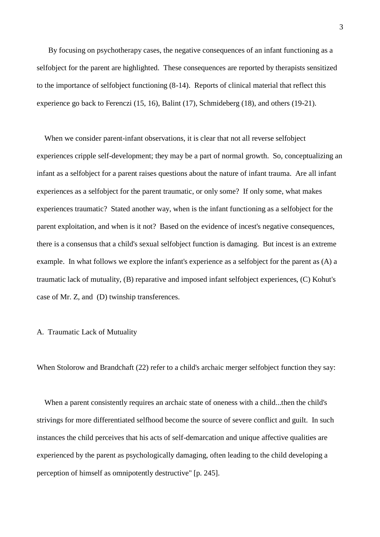By focusing on psychotherapy cases, the negative consequences of an infant functioning as a selfobject for the parent are highlighted. These consequences are reported by therapists sensitized to the importance of selfobject functioning (8-14). Reports of clinical material that reflect this experience go back to Ferenczi (15, 16), Balint (17), Schmideberg (18), and others (19-21).

 When we consider parent-infant observations, it is clear that not all reverse selfobject experiences cripple self-development; they may be a part of normal growth. So, conceptualizing an infant as a selfobject for a parent raises questions about the nature of infant trauma. Are all infant experiences as a selfobject for the parent traumatic, or only some? If only some, what makes experiences traumatic? Stated another way, when is the infant functioning as a selfobject for the parent exploitation, and when is it not? Based on the evidence of incest's negative consequences, there is a consensus that a child's sexual selfobject function is damaging. But incest is an extreme example. In what follows we explore the infant's experience as a selfobject for the parent as (A) a traumatic lack of mutuality, (B) reparative and imposed infant selfobject experiences, (C) Kohut's case of Mr. Z, and (D) twinship transferences.

## A. Traumatic Lack of Mutuality

When Stolorow and Brandchaft (22) refer to a child's archaic merger selfobject function they say:

 When a parent consistently requires an archaic state of oneness with a child...then the child's strivings for more differentiated selfhood become the source of severe conflict and guilt. In such instances the child perceives that his acts of self-demarcation and unique affective qualities are experienced by the parent as psychologically damaging, often leading to the child developing a perception of himself as omnipotently destructive" [p. 245].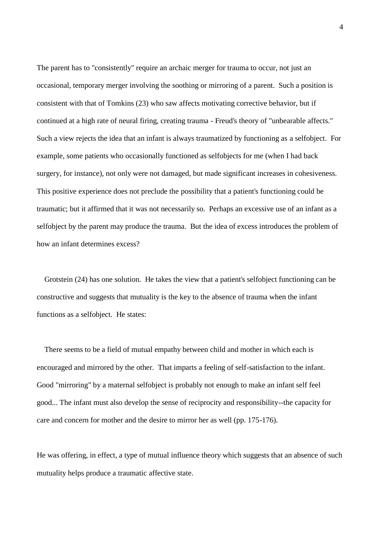The parent has to "consistently" require an archaic merger for trauma to occur, not just an occasional, temporary merger involving the soothing or mirroring of a parent. Such a position is consistent with that of Tomkins (23) who saw affects motivating corrective behavior, but if continued at a high rate of neural firing, creating trauma - Freud's theory of "unbearable affects." Such a view rejects the idea that an infant is always traumatized by functioning as a selfobject. For example, some patients who occasionally functioned as selfobjects for me (when I had back surgery, for instance), not only were not damaged, but made significant increases in cohesiveness. This positive experience does not preclude the possibility that a patient's functioning could be traumatic; but it affirmed that it was not necessarily so. Perhaps an excessive use of an infant as a selfobject by the parent may produce the trauma. But the idea of excess introduces the problem of how an infant determines excess?

 Grotstein (24) has one solution. He takes the view that a patient's selfobject functioning can be constructive and suggests that mutuality is the key to the absence of trauma when the infant functions as a selfobject. He states:

 There seems to be a field of mutual empathy between child and mother in which each is encouraged and mirrored by the other. That imparts a feeling of self-satisfaction to the infant. Good "mirroring" by a maternal selfobject is probably not enough to make an infant self feel good... The infant must also develop the sense of reciprocity and responsibility--the capacity for care and concern for mother and the desire to mirror her as well (pp. 175-176).

He was offering, in effect, a type of mutual influence theory which suggests that an absence of such mutuality helps produce a traumatic affective state.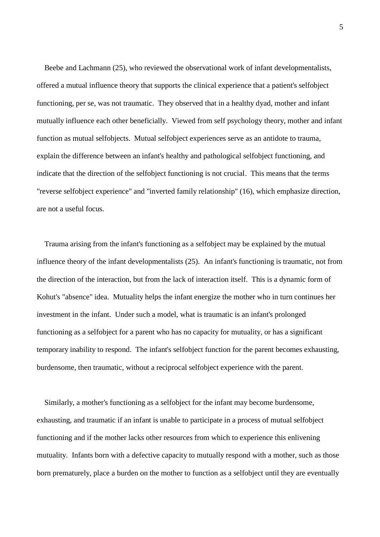Beebe and Lachmann (25), who reviewed the observational work of infant developmentalists, offered a mutual influence theory that supports the clinical experience that a patient's selfobject functioning, per se, was not traumatic. They observed that in a healthy dyad, mother and infant mutually influence each other beneficially. Viewed from self psychology theory, mother and infant function as mutual selfobjects. Mutual selfobject experiences serve as an antidote to trauma, explain the difference between an infant's healthy and pathological selfobject functioning, and indicate that the direction of the selfobject functioning is not crucial. This means that the terms "reverse selfobject experience" and "inverted family relationship" (16), which emphasize direction, are not a useful focus.

 Trauma arising from the infant's functioning as a selfobject may be explained by the mutual influence theory of the infant developmentalists (25). An infant's functioning is traumatic, not from the direction of the interaction, but from the lack of interaction itself. This is a dynamic form of Kohut's "absence" idea. Mutuality helps the infant energize the mother who in turn continues her investment in the infant. Under such a model, what is traumatic is an infant's prolonged functioning as a selfobject for a parent who has no capacity for mutuality, or has a significant temporary inability to respond. The infant's selfobject function for the parent becomes exhausting, burdensome, then traumatic, without a reciprocal selfobject experience with the parent.

 Similarly, a mother's functioning as a selfobject for the infant may become burdensome, exhausting, and traumatic if an infant is unable to participate in a process of mutual selfobject functioning and if the mother lacks other resources from which to experience this enlivening mutuality. Infants born with a defective capacity to mutually respond with a mother, such as those born prematurely, place a burden on the mother to function as a selfobject until they are eventually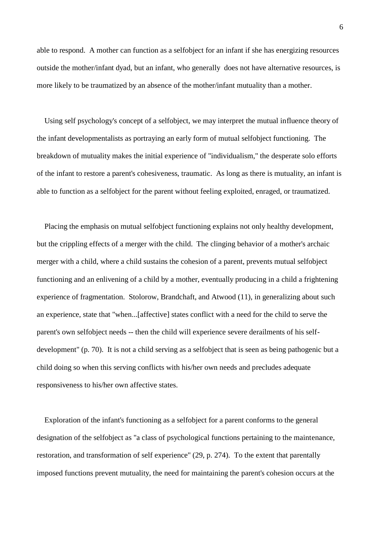able to respond. A mother can function as a selfobject for an infant if she has energizing resources outside the mother/infant dyad, but an infant, who generally does not have alternative resources, is more likely to be traumatized by an absence of the mother/infant mutuality than a mother.

 Using self psychology's concept of a selfobject, we may interpret the mutual influence theory of the infant developmentalists as portraying an early form of mutual selfobject functioning. The breakdown of mutuality makes the initial experience of "individualism," the desperate solo efforts of the infant to restore a parent's cohesiveness, traumatic. As long as there is mutuality, an infant is able to function as a selfobject for the parent without feeling exploited, enraged, or traumatized.

 Placing the emphasis on mutual selfobject functioning explains not only healthy development, but the crippling effects of a merger with the child. The clinging behavior of a mother's archaic merger with a child, where a child sustains the cohesion of a parent, prevents mutual selfobject functioning and an enlivening of a child by a mother, eventually producing in a child a frightening experience of fragmentation. Stolorow, Brandchaft, and Atwood (11), in generalizing about such an experience, state that "when...[affective] states conflict with a need for the child to serve the parent's own selfobject needs -- then the child will experience severe derailments of his selfdevelopment" (p. 70). It is not a child serving as a selfobject that is seen as being pathogenic but a child doing so when this serving conflicts with his/her own needs and precludes adequate responsiveness to his/her own affective states.

 Exploration of the infant's functioning as a selfobject for a parent conforms to the general designation of the selfobject as "a class of psychological functions pertaining to the maintenance, restoration, and transformation of self experience" (29, p. 274). To the extent that parentally imposed functions prevent mutuality, the need for maintaining the parent's cohesion occurs at the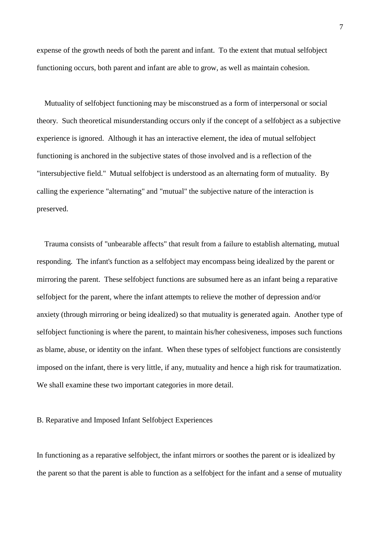expense of the growth needs of both the parent and infant. To the extent that mutual selfobject functioning occurs, both parent and infant are able to grow, as well as maintain cohesion.

 Mutuality of selfobject functioning may be misconstrued as a form of interpersonal or social theory. Such theoretical misunderstanding occurs only if the concept of a selfobject as a subjective experience is ignored. Although it has an interactive element, the idea of mutual selfobject functioning is anchored in the subjective states of those involved and is a reflection of the "intersubjective field." Mutual selfobject is understood as an alternating form of mutuality. By calling the experience "alternating" and "mutual" the subjective nature of the interaction is preserved.

 Trauma consists of "unbearable affects" that result from a failure to establish alternating, mutual responding. The infant's function as a selfobject may encompass being idealized by the parent or mirroring the parent. These selfobject functions are subsumed here as an infant being a reparative selfobject for the parent, where the infant attempts to relieve the mother of depression and/or anxiety (through mirroring or being idealized) so that mutuality is generated again. Another type of selfobject functioning is where the parent, to maintain his/her cohesiveness, imposes such functions as blame, abuse, or identity on the infant. When these types of selfobject functions are consistently imposed on the infant, there is very little, if any, mutuality and hence a high risk for traumatization. We shall examine these two important categories in more detail.

### B. Reparative and Imposed Infant Selfobject Experiences

In functioning as a reparative selfobject, the infant mirrors or soothes the parent or is idealized by the parent so that the parent is able to function as a selfobject for the infant and a sense of mutuality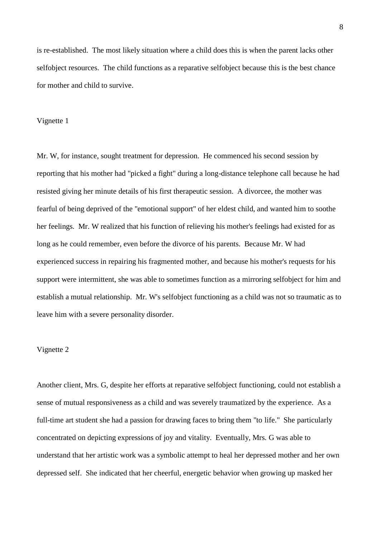is re-established. The most likely situation where a child does this is when the parent lacks other selfobject resources. The child functions as a reparative selfobject because this is the best chance for mother and child to survive.

#### Vignette 1

Mr. W, for instance, sought treatment for depression. He commenced his second session by reporting that his mother had "picked a fight" during a long-distance telephone call because he had resisted giving her minute details of his first therapeutic session. A divorcee, the mother was fearful of being deprived of the "emotional support" of her eldest child, and wanted him to soothe her feelings. Mr. W realized that his function of relieving his mother's feelings had existed for as long as he could remember, even before the divorce of his parents. Because Mr. W had experienced success in repairing his fragmented mother, and because his mother's requests for his support were intermittent, she was able to sometimes function as a mirroring selfobject for him and establish a mutual relationship. Mr. W's selfobject functioning as a child was not so traumatic as to leave him with a severe personality disorder.

### Vignette 2

Another client, Mrs. G, despite her efforts at reparative selfobject functioning, could not establish a sense of mutual responsiveness as a child and was severely traumatized by the experience. As a full-time art student she had a passion for drawing faces to bring them "to life." She particularly concentrated on depicting expressions of joy and vitality. Eventually, Mrs. G was able to understand that her artistic work was a symbolic attempt to heal her depressed mother and her own depressed self. She indicated that her cheerful, energetic behavior when growing up masked her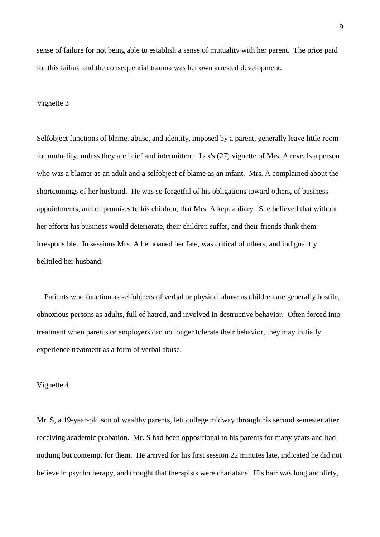sense of failure for not being able to establish a sense of mutuality with her parent. The price paid for this failure and the consequential trauma was her own arrested development.

## Vignette 3

Selfobject functions of blame, abuse, and identity, imposed by a parent, generally leave little room for mutuality, unless they are brief and intermittent. Lax's (27) vignette of Mrs. A reveals a person who was a blamer as an adult and a selfobject of blame as an infant. Mrs. A complained about the shortcomings of her husband. He was so forgetful of his obligations toward others, of business appointments, and of promises to his children, that Mrs. A kept a diary. She believed that without her efforts his business would deteriorate, their children suffer, and their friends think them irresponsible. In sessions Mrs. A bemoaned her fate, was critical of others, and indignantly belittled her husband.

 Patients who function as selfobjects of verbal or physical abuse as children are generally hostile, obnoxious persons as adults, full of hatred, and involved in destructive behavior. Often forced into treatment when parents or employers can no longer tolerate their behavior, they may initially experience treatment as a form of verbal abuse.

### Vignette 4

Mr. S, a 19-year-old son of wealthy parents, left college midway through his second semester after receiving academic probation. Mr. S had been oppositional to his parents for many years and had nothing but contempt for them. He arrived for his first session 22 minutes late, indicated he did not believe in psychotherapy, and thought that therapists were charlatans. His hair was long and dirty,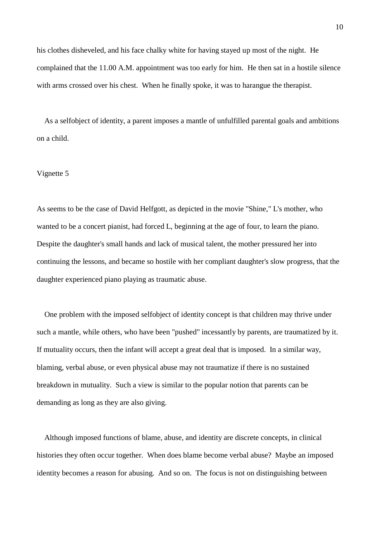his clothes disheveled, and his face chalky white for having stayed up most of the night. He complained that the 11.00 A.M. appointment was too early for him. He then sat in a hostile silence with arms crossed over his chest. When he finally spoke, it was to harangue the therapist.

 As a selfobject of identity, a parent imposes a mantle of unfulfilled parental goals and ambitions on a child.

# Vignette 5

As seems to be the case of David Helfgott, as depicted in the movie "Shine," L's mother, who wanted to be a concert pianist, had forced L, beginning at the age of four, to learn the piano. Despite the daughter's small hands and lack of musical talent, the mother pressured her into continuing the lessons, and became so hostile with her compliant daughter's slow progress, that the daughter experienced piano playing as traumatic abuse.

 One problem with the imposed selfobject of identity concept is that children may thrive under such a mantle, while others, who have been "pushed" incessantly by parents, are traumatized by it. If mutuality occurs, then the infant will accept a great deal that is imposed. In a similar way, blaming, verbal abuse, or even physical abuse may not traumatize if there is no sustained breakdown in mutuality. Such a view is similar to the popular notion that parents can be demanding as long as they are also giving.

 Although imposed functions of blame, abuse, and identity are discrete concepts, in clinical histories they often occur together. When does blame become verbal abuse? Maybe an imposed identity becomes a reason for abusing. And so on. The focus is not on distinguishing between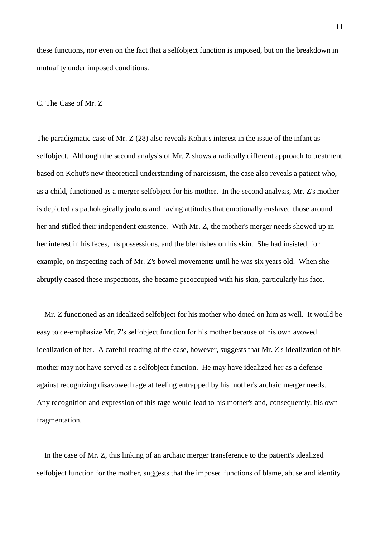these functions, nor even on the fact that a selfobject function is imposed, but on the breakdown in mutuality under imposed conditions.

## C. The Case of Mr. Z

The paradigmatic case of Mr. Z (28) also reveals Kohut's interest in the issue of the infant as selfobject. Although the second analysis of Mr. Z shows a radically different approach to treatment based on Kohut's new theoretical understanding of narcissism, the case also reveals a patient who, as a child, functioned as a merger selfobject for his mother. In the second analysis, Mr. Z's mother is depicted as pathologically jealous and having attitudes that emotionally enslaved those around her and stifled their independent existence. With Mr. Z, the mother's merger needs showed up in her interest in his feces, his possessions, and the blemishes on his skin. She had insisted, for example, on inspecting each of Mr. Z's bowel movements until he was six years old. When she abruptly ceased these inspections, she became preoccupied with his skin, particularly his face.

 Mr. Z functioned as an idealized selfobject for his mother who doted on him as well. It would be easy to de-emphasize Mr. Z's selfobject function for his mother because of his own avowed idealization of her. A careful reading of the case, however, suggests that Mr. Z's idealization of his mother may not have served as a selfobject function. He may have idealized her as a defense against recognizing disavowed rage at feeling entrapped by his mother's archaic merger needs. Any recognition and expression of this rage would lead to his mother's and, consequently, his own fragmentation.

 In the case of Mr. Z, this linking of an archaic merger transference to the patient's idealized selfobject function for the mother, suggests that the imposed functions of blame, abuse and identity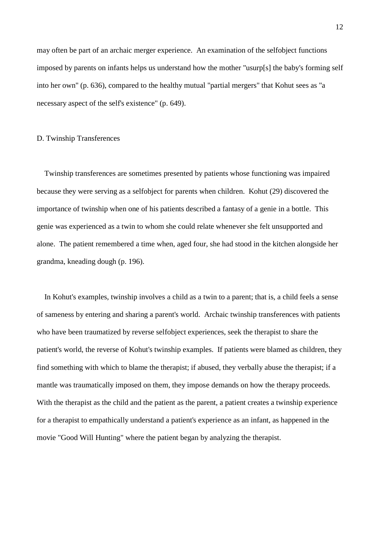may often be part of an archaic merger experience. An examination of the selfobject functions imposed by parents on infants helps us understand how the mother "usurp[s] the baby's forming self into her own" (p. 636), compared to the healthy mutual "partial mergers" that Kohut sees as "a necessary aspect of the self's existence" (p. 649).

## D. Twinship Transferences

 Twinship transferences are sometimes presented by patients whose functioning was impaired because they were serving as a selfobject for parents when children. Kohut (29) discovered the importance of twinship when one of his patients described a fantasy of a genie in a bottle. This genie was experienced as a twin to whom she could relate whenever she felt unsupported and alone. The patient remembered a time when, aged four, she had stood in the kitchen alongside her grandma, kneading dough (p. 196).

 In Kohut's examples, twinship involves a child as a twin to a parent; that is, a child feels a sense of sameness by entering and sharing a parent's world. Archaic twinship transferences with patients who have been traumatized by reverse selfobject experiences, seek the therapist to share the patient's world, the reverse of Kohut's twinship examples. If patients were blamed as children, they find something with which to blame the therapist; if abused, they verbally abuse the therapist; if a mantle was traumatically imposed on them, they impose demands on how the therapy proceeds. With the therapist as the child and the patient as the parent, a patient creates a twinship experience for a therapist to empathically understand a patient's experience as an infant, as happened in the movie "Good Will Hunting" where the patient began by analyzing the therapist.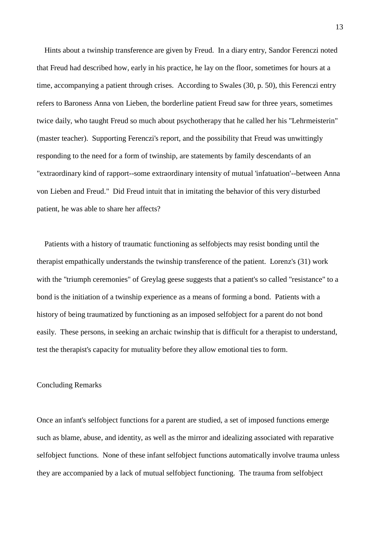Hints about a twinship transference are given by Freud. In a diary entry, Sandor Ferenczi noted that Freud had described how, early in his practice, he lay on the floor, sometimes for hours at a time, accompanying a patient through crises. According to Swales (30, p. 50), this Ferenczi entry refers to Baroness Anna von Lieben, the borderline patient Freud saw for three years, sometimes twice daily, who taught Freud so much about psychotherapy that he called her his "Lehrmeisterin" (master teacher). Supporting Ferenczi's report, and the possibility that Freud was unwittingly responding to the need for a form of twinship, are statements by family descendants of an "extraordinary kind of rapport--some extraordinary intensity of mutual 'infatuation'--between Anna von Lieben and Freud." Did Freud intuit that in imitating the behavior of this very disturbed patient, he was able to share her affects?

 Patients with a history of traumatic functioning as selfobjects may resist bonding until the therapist empathically understands the twinship transference of the patient. Lorenz's (31) work with the "triumph ceremonies" of Greylag geese suggests that a patient's so called "resistance" to a bond is the initiation of a twinship experience as a means of forming a bond. Patients with a history of being traumatized by functioning as an imposed selfobject for a parent do not bond easily. These persons, in seeking an archaic twinship that is difficult for a therapist to understand, test the therapist's capacity for mutuality before they allow emotional ties to form.

#### Concluding Remarks

Once an infant's selfobject functions for a parent are studied, a set of imposed functions emerge such as blame, abuse, and identity, as well as the mirror and idealizing associated with reparative selfobject functions. None of these infant selfobject functions automatically involve trauma unless they are accompanied by a lack of mutual selfobject functioning. The trauma from selfobject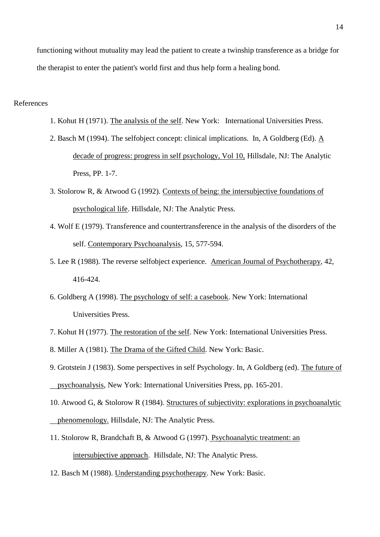functioning without mutuality may lead the patient to create a twinship transference as a bridge for the therapist to enter the patient's world first and thus help form a healing bond.

# References

- 1. Kohut H (1971). The analysis of the self. New York: International Universities Press.
- 2. Basch M (1994). The selfobject concept: clinical implications. In, A Goldberg (Ed). A decade of progress: progress in self psychology, Vol 10, Hillsdale, NJ: The Analytic Press, PP. 1-7.
- 3. Stolorow R, & Atwood G (1992). Contexts of being: the intersubjective foundations of psychological life. Hillsdale, NJ: The Analytic Press.
- 4. Wolf E (1979). Transference and countertransference in the analysis of the disorders of the self. Contemporary Psychoanalysis, 15, 577-594.
- 5. Lee R (1988). The reverse selfobject experience. American Journal of Psychotherapy, 42, 416-424.
- 6. Goldberg A (1998). The psychology of self: a casebook. New York: International Universities Press.
- 7. Kohut H (1977). The restoration of the self. New York: International Universities Press.
- 8. Miller A (1981). The Drama of the Gifted Child. New York: Basic.
- 9. Grotstein J (1983). Some perspectives in self Psychology. In, A Goldberg (ed). The future of psychoanalysis, New York: International Universities Press, pp. 165-201.
- 10. Atwood G, & Stolorow R (1984). Structures of subjectivity: explorations in psychoanalytic phenomenology. Hillsdale, NJ: The Analytic Press.
- 11. Stolorow R, Brandchaft B, & Atwood G (1997). Psychoanalytic treatment: an intersubjective approach. Hillsdale, NJ: The Analytic Press.
- 12. Basch M (1988). Understanding psychotherapy. New York: Basic.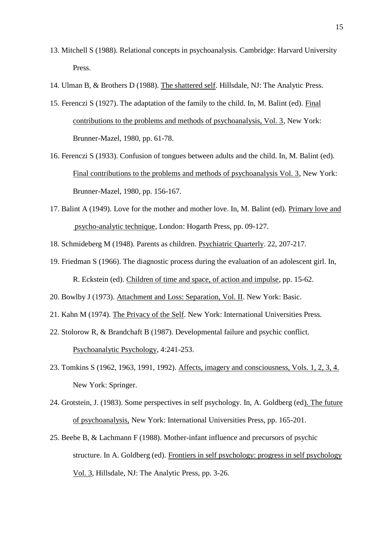- 13. Mitchell S (1988). Relational concepts in psychoanalysis. Cambridge: Harvard University Press.
- 14. Ulman B, & Brothers D (1988). The shattered self. Hillsdale, NJ: The Analytic Press.
- 15. Ferenczi S (1927). The adaptation of the family to the child. In, M. Balint (ed). Final contributions to the problems and methods of psychoanalysis, Vol. 3, New York: Brunner-Mazel, 1980, pp. 61-78.
- 16. Ferenczi S (1933). Confusion of tongues between adults and the child. In, M. Balint (ed). Final contributions to the problems and methods of psychoanalysis Vol. 3, New York: Brunner-Mazel, 1980, pp. 156-167.
- 17. Balint A (1949). Love for the mother and mother love. In, M. Balint (ed). Primary love and psycho-analytic technique, London: Hogarth Press, pp. 09-127.
- 18. Schmideberg M (1948). Parents as children. Psychiatric Quarterly. 22, 207-217.
- 19. Friedman S (1966). The diagnostic process during the evaluation of an adolescent girl. In, R. Eckstein (ed). Children of time and space, of action and impulse, pp. 15-62.
- 20. Bowlby J (1973). Attachment and Loss: Separation, Vol. II. New York: Basic.
- 21. Kahn M (1974). The Privacy of the Self. New York: International Universities Press.
- 22. Stolorow R, & Brandchaft B (1987). Developmental failure and psychic conflict. Psychoanalytic Psychology, 4:241-253.
- 23. Tomkins S (1962, 1963, 1991, 1992). Affects, imagery and consciousness, Vols. 1, 2, 3, 4. New York: Springer.
- 24. Grotstein, J. (1983). Some perspectives in self psychology. In, A. Goldberg (ed). The future of psychoanalysis, New York: International Universities Press, pp. 165-201.
- 25. Beebe B, & Lachmann F (1988). Mother-infant influence and precursors of psychic structure. In A. Goldberg (ed). Frontiers in self psychology: progress in self psychology Vol. 3, Hillsdale, NJ: The Analytic Press, pp. 3-26.